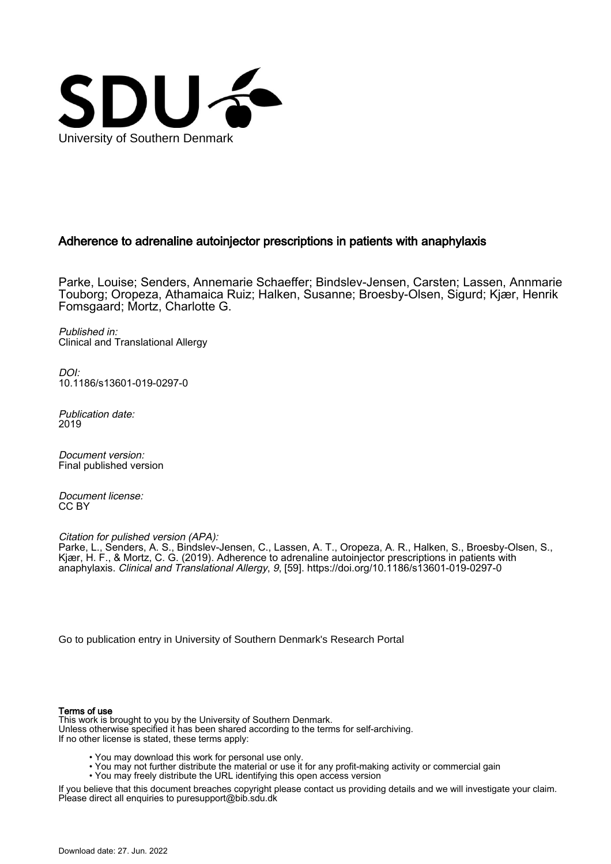

# Adherence to adrenaline autoinjector prescriptions in patients with anaphylaxis

Parke, Louise; Senders, Annemarie Schaeffer; Bindslev-Jensen, Carsten; Lassen, Annmarie Touborg; Oropeza, Athamaica Ruiz; Halken, Susanne; Broesby-Olsen, Sigurd; Kjær, Henrik Fomsgaard; Mortz, Charlotte G.

Published in: Clinical and Translational Allergy

DOI: [10.1186/s13601-019-0297-0](https://doi.org/10.1186/s13601-019-0297-0)

Publication date: 2019

Document version: Final published version

Document license: CC BY

Citation for pulished version (APA):

Parke, L., Senders, A. S., Bindslev-Jensen, C., Lassen, A. T., Oropeza, A. R., Halken, S., Broesby-Olsen, S., Kjær, H. F., & Mortz, C. G. (2019). Adherence to adrenaline autoinjector prescriptions in patients with anaphylaxis. Clinical and Translational Allergy, 9, [59].<https://doi.org/10.1186/s13601-019-0297-0>

[Go to publication entry in University of Southern Denmark's Research Portal](https://portal.findresearcher.sdu.dk/en/publications/4f4e2a15-08a2-40fc-b242-06933c20e23c)

## Terms of use

This work is brought to you by the University of Southern Denmark. Unless otherwise specified it has been shared according to the terms for self-archiving. If no other license is stated, these terms apply:

- You may download this work for personal use only.
- You may not further distribute the material or use it for any profit-making activity or commercial gain
- You may freely distribute the URL identifying this open access version

If you believe that this document breaches copyright please contact us providing details and we will investigate your claim. Please direct all enquiries to puresupport@bib.sdu.dk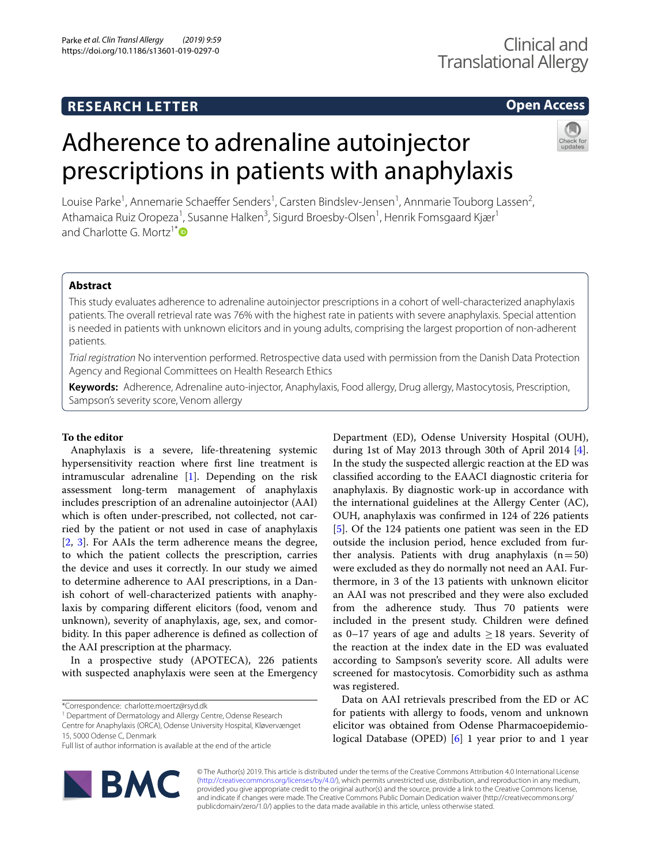# **RESEARCH LETTER**

# **Open Access**

prescriptions in patients with anaphylaxis Louise Parke<sup>1</sup>, Annemarie Schaeffer Senders<sup>1</sup>, Carsten Bindslev-Jensen<sup>1</sup>, Annmarie Touborg Lassen<sup>2</sup>, Athamaica Ruiz Oropeza<sup>1</sup>, Susanne Halken<sup>3</sup>, Sigurd Broesby-Olsen<sup>1</sup>, Henrik Fomsgaard Kjær<sup>1</sup> and Charlotte G. Mortz<sup>1[\\*](http://orcid.org/0000-0001-8710-0829)</sup> $\bullet$ 

Adherence to adrenaline autoinjector

# **Abstract**

This study evaluates adherence to adrenaline autoinjector prescriptions in a cohort of well-characterized anaphylaxis patients. The overall retrieval rate was 76% with the highest rate in patients with severe anaphylaxis. Special attention is needed in patients with unknown elicitors and in young adults, comprising the largest proportion of non-adherent patients.

*Trial registration* No intervention performed. Retrospective data used with permission from the Danish Data Protection Agency and Regional Committees on Health Research Ethics

**Keywords:** Adherence, Adrenaline auto-injector, Anaphylaxis, Food allergy, Drug allergy, Mastocytosis, Prescription, Sampson's severity score, Venom allergy

## **To the editor**

Anaphylaxis is a severe, life-threatening systemic hypersensitivity reaction where frst line treatment is intramuscular adrenaline  $[1]$  $[1]$ . Depending on the risk assessment long-term management of anaphylaxis includes prescription of an adrenaline autoinjector (AAI) which is often under-prescribed, not collected, not carried by the patient or not used in case of anaphylaxis [[2,](#page-4-1) [3\]](#page-4-2). For AAIs the term adherence means the degree, to which the patient collects the prescription, carries the device and uses it correctly. In our study we aimed to determine adherence to AAI prescriptions, in a Danish cohort of well-characterized patients with anaphylaxis by comparing diferent elicitors (food, venom and unknown), severity of anaphylaxis, age, sex, and comorbidity. In this paper adherence is defned as collection of the AAI prescription at the pharmacy.

In a prospective study (APOTECA), 226 patients with suspected anaphylaxis were seen at the Emergency

<sup>1</sup> Department of Dermatology and Allergy Centre, Odense Research Centre for Anaphylaxis (ORCA), Odense University Hospital, Kløvervænget

Full list of author information is available at the end of the article



Department (ED), Odense University Hospital (OUH), during 1st of May 2013 through 30th of April 2014 [\[4](#page-4-3)]. In the study the suspected allergic reaction at the ED was classifed according to the EAACI diagnostic criteria for anaphylaxis. By diagnostic work-up in accordance with the international guidelines at the Allergy Center (AC), OUH, anaphylaxis was confrmed in 124 of 226 patients [[5\]](#page-4-4). Of the 124 patients one patient was seen in the ED outside the inclusion period, hence excluded from further analysis. Patients with drug anaphylaxis  $(n=50)$ were excluded as they do normally not need an AAI. Furthermore, in 3 of the 13 patients with unknown elicitor an AAI was not prescribed and they were also excluded from the adherence study. Thus 70 patients were included in the present study. Children were defned as 0–17 years of age and adults  $\geq$  18 years. Severity of the reaction at the index date in the ED was evaluated according to Sampson's severity score. All adults were screened for mastocytosis. Comorbidity such as asthma was registered.

Data on AAI retrievals prescribed from the ED or AC for patients with allergy to foods, venom and unknown elicitor was obtained from Odense Pharmacoepidemio-logical Database (OPED) [[6\]](#page-4-5) 1 year prior to and 1 year

© The Author(s) 2019. This article is distributed under the terms of the Creative Commons Attribution 4.0 International License [\(http://creativecommons.org/licenses/by/4.0/\)](http://creativecommons.org/licenses/by/4.0/), which permits unrestricted use, distribution, and reproduction in any medium, provided you give appropriate credit to the original author(s) and the source, provide a link to the Creative Commons license, and indicate if changes were made. The Creative Commons Public Domain Dedication waiver (http://creativecommons.org/ publicdomain/zero/1.0/) applies to the data made available in this article, unless otherwise stated.

<sup>\*</sup>Correspondence: charlotte.moertz@rsyd.dk

<sup>15, 5000</sup> Odense C, Denmark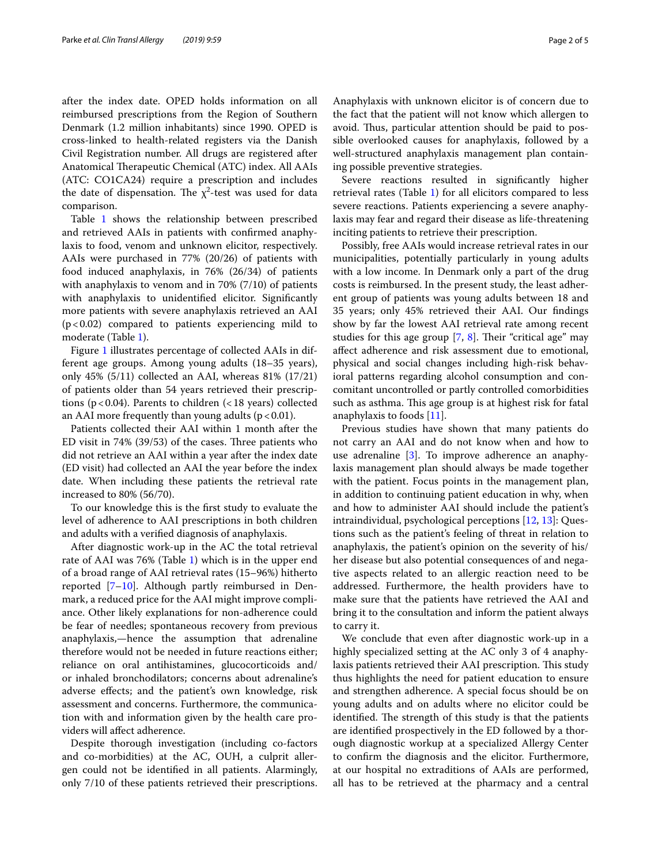after the index date. OPED holds information on all reimbursed prescriptions from the Region of Southern Denmark (1.2 million inhabitants) since 1990. OPED is cross-linked to health-related registers via the Danish Civil Registration number. All drugs are registered after Anatomical Therapeutic Chemical (ATC) index. All AAIs (ATC: CO1CA24) require a prescription and includes the date of dispensation. The  $\chi^2$ -test was used for data comparison.

Table [1](#page-3-0) shows the relationship between prescribed and retrieved AAIs in patients with confrmed anaphylaxis to food, venom and unknown elicitor, respectively. AAIs were purchased in 77% (20/26) of patients with food induced anaphylaxis, in 76% (26/34) of patients with anaphylaxis to venom and in 70% (7/10) of patients with anaphylaxis to unidentifed elicitor. Signifcantly more patients with severe anaphylaxis retrieved an AAI (p<0.02) compared to patients experiencing mild to moderate (Table [1\)](#page-3-0).

Figure [1](#page-4-6) illustrates percentage of collected AAIs in different age groups. Among young adults (18–35 years), only 45% (5/11) collected an AAI, whereas 81% (17/21) of patients older than 54 years retrieved their prescriptions ( $p < 0.04$ ). Parents to children ( $< 18$  years) collected an AAI more frequently than young adults  $(p < 0.01)$ .

Patients collected their AAI within 1 month after the ED visit in  $74\%$  (39/53) of the cases. Three patients who did not retrieve an AAI within a year after the index date (ED visit) had collected an AAI the year before the index date. When including these patients the retrieval rate increased to 80% (56/70).

To our knowledge this is the frst study to evaluate the level of adherence to AAI prescriptions in both children and adults with a verifed diagnosis of anaphylaxis.

After diagnostic work-up in the AC the total retrieval rate of AAI was 76% (Table [1](#page-3-0)) which is in the upper end of a broad range of AAI retrieval rates (15–96%) hitherto reported [[7](#page-4-7)[–10](#page-5-0)]. Although partly reimbursed in Denmark, a reduced price for the AAI might improve compliance. Other likely explanations for non-adherence could be fear of needles; spontaneous recovery from previous anaphylaxis,—hence the assumption that adrenaline therefore would not be needed in future reactions either; reliance on oral antihistamines, glucocorticoids and/ or inhaled bronchodilators; concerns about adrenaline's adverse efects; and the patient's own knowledge, risk assessment and concerns. Furthermore, the communication with and information given by the health care providers will afect adherence.

Despite thorough investigation (including co-factors and co-morbidities) at the AC, OUH, a culprit allergen could not be identifed in all patients. Alarmingly, only 7/10 of these patients retrieved their prescriptions.

Anaphylaxis with unknown elicitor is of concern due to the fact that the patient will not know which allergen to avoid. Thus, particular attention should be paid to possible overlooked causes for anaphylaxis, followed by a well-structured anaphylaxis management plan containing possible preventive strategies.

Severe reactions resulted in signifcantly higher retrieval rates (Table [1\)](#page-3-0) for all elicitors compared to less severe reactions. Patients experiencing a severe anaphylaxis may fear and regard their disease as life-threatening inciting patients to retrieve their prescription.

Possibly, free AAIs would increase retrieval rates in our municipalities, potentially particularly in young adults with a low income. In Denmark only a part of the drug costs is reimbursed. In the present study, the least adherent group of patients was young adults between 18 and 35 years; only 45% retrieved their AAI. Our fndings show by far the lowest AAI retrieval rate among recent studies for this age group  $[7, 8]$  $[7, 8]$  $[7, 8]$ . Their "critical age" may afect adherence and risk assessment due to emotional, physical and social changes including high-risk behavioral patterns regarding alcohol consumption and concomitant uncontrolled or partly controlled comorbidities such as asthma. This age group is at highest risk for fatal anaphylaxis to foods [[11](#page-5-2)].

Previous studies have shown that many patients do not carry an AAI and do not know when and how to use adrenaline [\[3](#page-4-2)]. To improve adherence an anaphylaxis management plan should always be made together with the patient. Focus points in the management plan, in addition to continuing patient education in why, when and how to administer AAI should include the patient's intraindividual, psychological perceptions [\[12](#page-5-3), [13\]](#page-5-4): Questions such as the patient's feeling of threat in relation to anaphylaxis, the patient's opinion on the severity of his/ her disease but also potential consequences of and negative aspects related to an allergic reaction need to be addressed. Furthermore, the health providers have to make sure that the patients have retrieved the AAI and bring it to the consultation and inform the patient always to carry it.

We conclude that even after diagnostic work-up in a highly specialized setting at the AC only 3 of 4 anaphylaxis patients retrieved their AAI prescription. This study thus highlights the need for patient education to ensure and strengthen adherence. A special focus should be on young adults and on adults where no elicitor could be identified. The strength of this study is that the patients are identifed prospectively in the ED followed by a thorough diagnostic workup at a specialized Allergy Center to confrm the diagnosis and the elicitor. Furthermore, at our hospital no extraditions of AAIs are performed, all has to be retrieved at the pharmacy and a central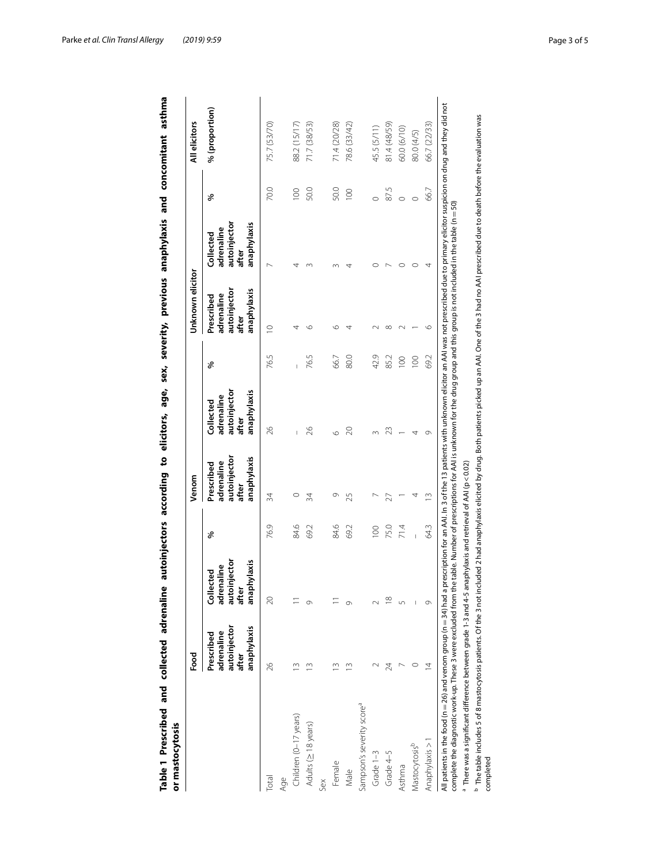<span id="page-3-0"></span>

| or mastocytosis                                                                                                                                                                                                                                                                                                                                                                                                           | Food                                                             |                                                                 |                | Venom                                                            |                                                                 |      | Unknown elicitor                                                 |                                                                 |                  | All elicitors  |
|---------------------------------------------------------------------------------------------------------------------------------------------------------------------------------------------------------------------------------------------------------------------------------------------------------------------------------------------------------------------------------------------------------------------------|------------------------------------------------------------------|-----------------------------------------------------------------|----------------|------------------------------------------------------------------|-----------------------------------------------------------------|------|------------------------------------------------------------------|-----------------------------------------------------------------|------------------|----------------|
|                                                                                                                                                                                                                                                                                                                                                                                                                           | autoinjector<br>anaphylaxis<br>adrenaline<br>Prescribed<br>after | autoinjector<br>anaphylaxis<br>adrenaline<br>Collected<br>after | ళ              | autoinjector<br>anaphylaxis<br>adrenaline<br>Prescribed<br>after | autoinjector<br>anaphylaxis<br>adrenaline<br>Collected<br>after | ళ    | autoinjector<br>anaphylaxis<br>adrenaline<br>Prescribed<br>after | autoinjector<br>anaphylaxis<br>adrenaline<br>Collected<br>after | %                | % (proportion) |
| Total                                                                                                                                                                                                                                                                                                                                                                                                                     | 26                                                               | $\approx$                                                       | 76.9           | 34                                                               | 26                                                              | 76.5 | $\supseteq$                                                      |                                                                 | 70.0             | 75.7 (53/70)   |
| Age                                                                                                                                                                                                                                                                                                                                                                                                                       |                                                                  |                                                                 |                |                                                                  |                                                                 |      |                                                                  |                                                                 |                  |                |
| Children (0-17 years)                                                                                                                                                                                                                                                                                                                                                                                                     | $\tilde{=}$                                                      |                                                                 | 84.6           | $\circ$                                                          |                                                                 |      | 4                                                                |                                                                 | $\overline{100}$ | 88.2 (15/17)   |
| Adults (≥ 18 years)                                                                                                                                                                                                                                                                                                                                                                                                       | $\tilde{=}$                                                      |                                                                 | 69.2           | 34                                                               | $\approx$                                                       | 76.5 | ৩                                                                |                                                                 | 50.0             | 71.7 (38/53)   |
| ŠêX                                                                                                                                                                                                                                                                                                                                                                                                                       |                                                                  |                                                                 |                |                                                                  |                                                                 |      |                                                                  |                                                                 |                  |                |
| Female                                                                                                                                                                                                                                                                                                                                                                                                                    |                                                                  |                                                                 | 84.6           | $\circ$                                                          | O                                                               | 66.7 | ৩                                                                |                                                                 | 50.0             | 71.4 (20/28)   |
| Male                                                                                                                                                                                                                                                                                                                                                                                                                      |                                                                  |                                                                 | 69.2           | 25                                                               | $\approx$                                                       | 80.0 |                                                                  |                                                                 | 100              | 78.6 (33/42)   |
| Sampson's severity score <sup>a</sup>                                                                                                                                                                                                                                                                                                                                                                                     |                                                                  |                                                                 |                |                                                                  |                                                                 |      |                                                                  |                                                                 |                  |                |
| Grade $1-3$                                                                                                                                                                                                                                                                                                                                                                                                               |                                                                  |                                                                 | $\overline{0}$ |                                                                  |                                                                 | 42.9 |                                                                  |                                                                 |                  | 45.5 (5/11)    |
| Grade 4-5                                                                                                                                                                                                                                                                                                                                                                                                                 | 24                                                               | $\frac{\infty}{\infty}$                                         | 75.0           | 27                                                               | 23                                                              | 85.2 | ∞                                                                |                                                                 | 87.5             | 81.4 (48/59)   |
| Asthma                                                                                                                                                                                                                                                                                                                                                                                                                    |                                                                  |                                                                 | 71.4           |                                                                  |                                                                 | 100  |                                                                  |                                                                 | $\circ$          | 60.0 (6/10)    |
| Mastocytosisb                                                                                                                                                                                                                                                                                                                                                                                                             |                                                                  |                                                                 |                | 4                                                                | 4                                                               | 100  |                                                                  | $\circ$                                                         | $\circ$          | 80.0 (4/5)     |
| Anaphylaxis > 1                                                                                                                                                                                                                                                                                                                                                                                                           | $\overline{4}$                                                   |                                                                 | 643            | $\frac{1}{2}$                                                    | 0                                                               | 69.2 | $\circ$                                                          | 4                                                               | 66.7             | 66.7 (22/33)   |
| All patients in the food (n = 26) and venom group (n = 34) had a prescription for an AAI. In 3 of the 13 patients with unknown elicitor an AAI was not prescribed due to primary elicitor suspicion on drug and they did not<br>complete the diagnostic work-up. These 3 were excluded from the table. Number of prescriptions for AAI is unknown for the drug group and this group is not included in the table (n = 50) |                                                                  |                                                                 |                |                                                                  |                                                                 |      |                                                                  |                                                                 |                  |                |
| $^{\rm a}$ There was a significant difference between grade 1-3 and 4-5 anaphylaxis and retrieval of AAI (p < 0.02)                                                                                                                                                                                                                                                                                                       |                                                                  |                                                                 |                |                                                                  |                                                                 |      |                                                                  |                                                                 |                  |                |
| <sup>b</sup> The table includes 5 of 8 mastocytosis patients. Of the 3 not included 2 had anaphylaxis elicited by drug. Both patients picked up an AAI. One of the 3 had no AAI prescribed due to death before the evaluation was<br>completed                                                                                                                                                                            |                                                                  |                                                                 |                |                                                                  |                                                                 |      |                                                                  |                                                                 |                  |                |

| sex,<br>ņ<br> <br> <br>     |  |
|-----------------------------|--|
|                             |  |
|                             |  |
|                             |  |
| ē<br>Ĺ                      |  |
| ï<br>Í                      |  |
| ֞֟֘֝֓֕׆֧֧֧֧֩֩֩֩֩֩֩֩֩֩֩      |  |
| į<br>j<br>í<br>֚֕<br>i<br>ć |  |
|                             |  |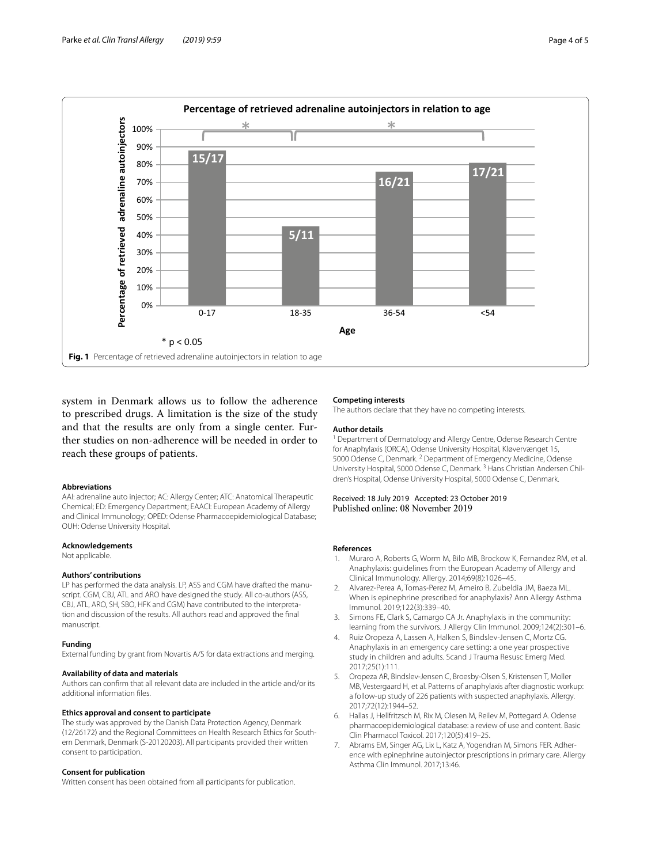

<span id="page-4-6"></span>system in Denmark allows us to follow the adherence to prescribed drugs. A limitation is the size of the study and that the results are only from a single center. Further studies on non-adherence will be needed in order to reach these groups of patients.

### **Abbreviations**

AAI: adrenaline auto injector; AC: Allergy Center; ATC: Anatomical Therapeutic Chemical; ED: Emergency Department; EAACI: European Academy of Allergy and Clinical Immunology; OPED: Odense Pharmacoepidemiological Database; OUH: Odense University Hospital.

#### **Acknowledgements**

Not applicable.

#### **Authors' contributions**

LP has performed the data analysis. LP, ASS and CGM have drafted the manuscript. CGM, CBJ, ATL and ARO have designed the study. All co-authors (ASS, CBJ, ATL, ARO, SH, SBO, HFK and CGM) have contributed to the interpretation and discussion of the results. All authors read and approved the fnal manuscript.

#### **Funding**

External funding by grant from Novartis A/S for data extractions and merging.

#### **Availability of data and materials**

Authors can confrm that all relevant data are included in the article and/or its additional information fles.

#### **Ethics approval and consent to participate**

The study was approved by the Danish Data Protection Agency, Denmark (12/26172) and the Regional Committees on Health Research Ethics for South‑ ern Denmark, Denmark (S-20120203). All participants provided their written consent to participation.

#### **Consent for publication**

Written consent has been obtained from all participants for publication.

#### **Competing interests**

The authors declare that they have no competing interests.

#### **Author details**

<sup>1</sup> Department of Dermatology and Allergy Centre, Odense Research Centre for Anaphylaxis (ORCA), Odense University Hospital, Kløvervænget 15, 5000 Odense C, Denmark. <sup>2</sup> Department of Emergency Medicine, Odense University Hospital, 5000 Odense C, Denmark. 3 Hans Christian Andersen Chil‑ dren's Hospital, Odense University Hospital, 5000 Odense C, Denmark.

Received: 18 July 2019 Accepted: 23 October 2019<br>Published online: 08 November 2019

#### **References**

- <span id="page-4-0"></span>Muraro A, Roberts G, Worm M, Bilo MB, Brockow K, Fernandez RM, et al. Anaphylaxis: guidelines from the European Academy of Allergy and Clinical Immunology. Allergy. 2014;69(8):1026–45.
- <span id="page-4-1"></span>2. Alvarez-Perea A, Tomas-Perez M, Ameiro B, Zubeldia JM, Baeza ML. When is epinephrine prescribed for anaphylaxis? Ann Allergy Asthma Immunol. 2019;122(3):339–40.
- <span id="page-4-2"></span>3. Simons FE, Clark S, Camargo CA Jr. Anaphylaxis in the community: learning from the survivors. J Allergy Clin Immunol. 2009;124(2):301–6.
- <span id="page-4-3"></span>4. Ruiz Oropeza A, Lassen A, Halken S, Bindslev-Jensen C, Mortz CG. Anaphylaxis in an emergency care setting: a one year prospective study in children and adults. Scand J Trauma Resusc Emerg Med. 2017;25(1):111.
- <span id="page-4-4"></span>5. Oropeza AR, Bindslev-Jensen C, Broesby-Olsen S, Kristensen T, Moller MB, Vestergaard H, et al. Patterns of anaphylaxis after diagnostic workup: a follow-up study of 226 patients with suspected anaphylaxis. Allergy. 2017;72(12):1944–52.
- <span id="page-4-5"></span>6. Hallas J, Hellfritzsch M, Rix M, Olesen M, Reilev M, Pottegard A. Odense pharmacoepidemiological database: a review of use and content. Basic Clin Pharmacol Toxicol. 2017;120(5):419–25.
- <span id="page-4-7"></span>7. Abrams EM, Singer AG, Lix L, Katz A, Yogendran M, Simons FER. Adherence with epinephrine autoinjector prescriptions in primary care. Allergy Asthma Clin Immunol. 2017;13:46.